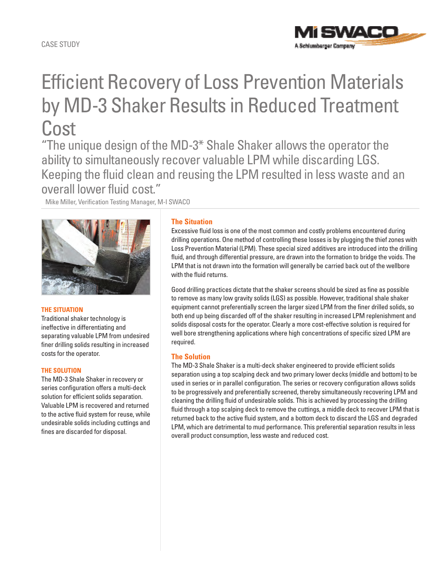# Efficient Recovery of Loss Prevention Materials by MD-3 Shaker Results in Reduced Treatment Cost

"The unique design of the MD-3\* Shale Shaker allows the operator the ability to simultaneously recover valuable LPM while discarding LGS. Keeping the fluid clean and reusing the LPM resulted in less waste and an overall lower fluid cost."

Mike Miller, Verification Testing Manager, M-I SWACO



## **The Situation**

Traditional shaker technology is ineffective in differentiating and separating valuable LPM from undesired finer drilling solids resulting in increased costs for the operator.

## **The Solution**

The MD-3 Shale Shaker in recovery or series configuration offers a multi-deck solution for efficient solids separation. Valuable LPM is recovered and returned to the active fluid system for reuse, while undesirable solids including cuttings and fines are discarded for disposal.

## **The Situation**

Excessive fluid loss is one of the most common and costly problems encountered during drilling operations. One method of controlling these losses is by plugging the thief zones with Loss Prevention Material (LPM). These special sized additives are introduced into the drilling fluid, and through differential pressure, are drawn into the formation to bridge the voids. The LPM that is not drawn into the formation will generally be carried back out of the wellbore with the fluid returns.

1 SWAD C

A Schlumberger Company

Good drilling practices dictate that the shaker screens should be sized as fine as possible to remove as many low gravity solids (LGS) as possible. However, traditional shale shaker equipment cannot preferentially screen the larger sized LPM from the finer drilled solids, so both end up being discarded off of the shaker resulting in increased LPM replenishment and solids disposal costs for the operator. Clearly a more cost-effective solution is required for well bore strengthening applications where high concentrations of specific sized LPM are required.

## **The Solution**

The MD-3 Shale Shaker is a multi-deck shaker engineered to provide efficient solids separation using a top scalping deck and two primary lower decks (middle and bottom) to be used in series or in parallel configuration. The series or recovery configuration allows solids to be progressively and preferentially screened, thereby simultaneously recovering LPM and cleaning the drilling fluid of undesirable solids. This is achieved by processing the drilling fluid through a top scalping deck to remove the cuttings, a middle deck to recover LPM that is returned back to the active fluid system, and a bottom deck to discard the LGS and degraded LPM, which are detrimental to mud performance. This preferential separation results in less overall product consumption, less waste and reduced cost.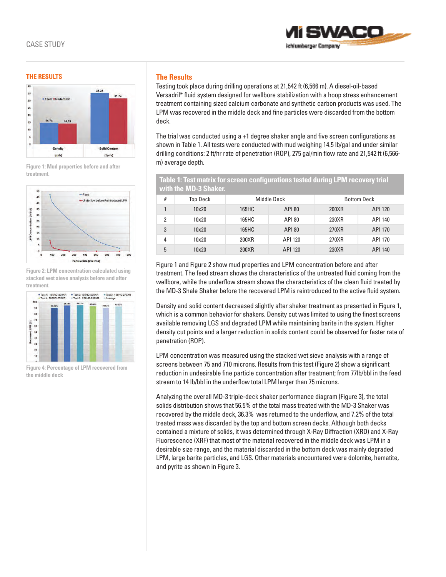

#### **The Results**



**Figure 1: Mud properties before and after treatment.**



**Figure 2: LPM concentration calculated using stacked wet sieve analysis before and after treatment.**



**Figure 4: Percentage of LPM recovered from the middle deck**

## **The Results**

Testing took place during drilling operations at 21,542 ft (6,566 m). A diesel-oil-based Versadril\* fluid system designed for wellbore stabilization with a hoop stress enhancement treatment containing sized calcium carbonate and synthetic carbon products was used. The LPM was recovered in the middle deck and fine particles were discarded from the bottom deck.

The trial was conducted using a +1 degree shaker angle and five screen configurations as shown in Table 1. All tests were conducted with mud weighing 14.5 lb/gal and under similar drilling conditions: 2 ft/hr rate of penetration (ROP), 275 gal/min flow rate and 21,542 ft (6,566 m) average depth.

**Table 1: Test matrix for screen configurations tested during LPM recovery trial with the MD-3 Shaker.**

| # | Top Deck | Middle Deck |               | <b>Bottom Deck</b> |         |
|---|----------|-------------|---------------|--------------------|---------|
|   | 10x20    | 165HC       | <b>API 80</b> | 200XR              | API 120 |
| 2 | 10x20    | 165HC       | <b>API 80</b> | 230XR              | API 140 |
| 3 | 10x20    | 165HC       | <b>API 80</b> | 270XR              | API 170 |
| 4 | 10x20    | 200XR       | API 120       | 270XR              | API 170 |
| 5 | 10x20    | 200XR       | API 120       | 230XR              | API 140 |

Figure 1 and Figure 2 show mud properties and LPM concentration before and after treatment. The feed stream shows the characteristics of the untreated fluid coming from the wellbore, while the underflow stream shows the characteristics of the clean fluid treated by the MD-3 Shale Shaker before the recovered LPM is reintroduced to the active fluid system.

Density and solid content decreased slightly after shaker treatment as presented in Figure 1, which is a common behavior for shakers. Density cut was limited to using the finest screens available removing LGS and degraded LPM while maintaining barite in the system. Higher density cut points and a larger reduction in solids content could be observed for faster rate of penetration (ROP).

LPM concentration was measured using the stacked wet sieve analysis with a range of screens between 75 and 710 microns. Results from this test (Figure 2) show a significant reduction in undesirable fine particle concentration after treatment; from 77lb/bbl in the feed stream to 14 lb/bbl in the underflow total LPM larger than 75 microns.

Analyzing the overall MD-3 triple-deck shaker performance diagram (Figure 3), the total solids distribution shows that 56.5% of the total mass treated with the MD-3 Shaker was recovered by the middle deck, 36.3% was returned to the underflow, and 7.2% of the total treated mass was discarded by the top and bottom screen decks. Although both decks contained a mixture of solids, it was determined through X-Ray Diffraction (XRD) and X-Ray Fluorescence (XRF) that most of the material recovered in the middle deck was LPM in a desirable size range, and the material discarded in the bottom deck was mainly degraded LPM, large barite particles, and LGS. Other materials encountered were dolomite, hematite, and pyrite as shown in Figure 3.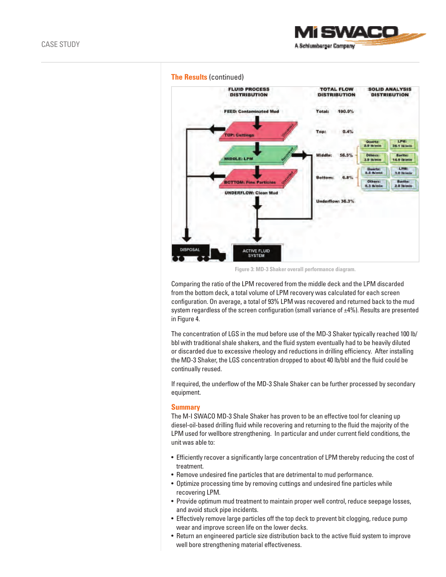

### **The Results** (continued)



**Figure 3: MD-3 Shaker overall performance diagram.**

Comparing the ratio of the LPM recovered from the middle deck and the LPM discarded from the bottom deck, a total volume of LPM recovery was calculated for each screen configuration. On average, a total of 93% LPM was recovered and returned back to the mud system regardless of the screen configuration (small variance of  $\pm 4\%$ ). Results are presented in Figure 4.

The concentration of LGS in the mud before use of the MD-3 Shaker typically reached 100 lb/ bbl with traditional shale shakers, and the fluid system eventually had to be heavily diluted or discarded due to excessive rheology and reductions in drilling efficiency. After installing the MD-3 Shaker, the LGS concentration dropped to about 40 lb/bbl and the fluid could be continually reused.

If required, the underflow of the MD-3 Shale Shaker can be further processed by secondary equipment.

#### **Summary**

The M-I SWACO MD-3 Shale Shaker has proven to be an effective tool for cleaning up diesel-oil-based drilling fluid while recovering and returning to the fluid the majority of the LPM used for wellbore strengthening. In particular and under current field conditions, the unit was able to:

- •  Efficiently recover a significantly large concentration of LPM thereby reducing the cost of treatment.
- •  Remove undesired fine particles that are detrimental to mud performance.
- •  Optimize processing time by removing cuttings and undesired fine particles while recovering LPM.
- •  Provide optimum mud treatment to maintain proper well control, reduce seepage losses, and avoid stuck pipe incidents.
- •  Effectively remove large particles off the top deck to prevent bit clogging, reduce pump wear and improve screen life on the lower decks.
- •  Return an engineered particle size distribution back to the active fluid system to improve well bore strengthening material effectiveness.